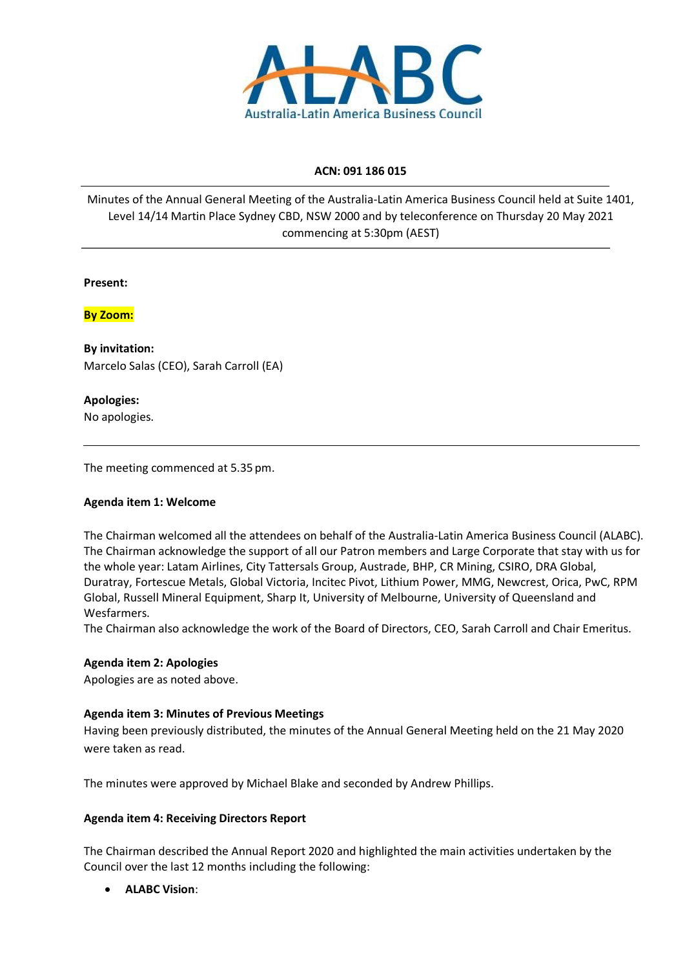

## **ACN: 091 186 015**

Minutes of the Annual General Meeting of the Australia-Latin America Business Council held at Suite 1401, Level 14/14 Martin Place Sydney CBD, NSW 2000 and by teleconference on Thursday 20 May 2021 commencing at 5:30pm (AEST)

### **Present:**

**By Zoom:**

**By invitation:** Marcelo Salas (CEO), Sarah Carroll (EA)

**Apologies:** No apologies.

The meeting commenced at 5.35 pm.

## **Agenda item 1: Welcome**

The Chairman welcomed all the attendees on behalf of the Australia-Latin America Business Council (ALABC). The Chairman acknowledge the support of all our Patron members and Large Corporate that stay with us for the whole year: Latam Airlines, City Tattersals Group, Austrade, BHP, CR Mining, CSIRO, DRA Global, Duratray, Fortescue Metals, Global Victoria, Incitec Pivot, Lithium Power, MMG, Newcrest, Orica, PwC, RPM Global, Russell Mineral Equipment, Sharp It, University of Melbourne, University of Queensland and Wesfarmers.

The Chairman also acknowledge the work of the Board of Directors, CEO, Sarah Carroll and Chair Emeritus.

## **Agenda item 2: Apologies**

Apologies are as noted above.

## **Agenda item 3: Minutes of Previous Meetings**

Having been previously distributed, the minutes of the Annual General Meeting held on the 21 May 2020 were taken as read.

The minutes were approved by Michael Blake and seconded by Andrew Phillips.

#### **Agenda item 4: Receiving Directors Report**

The Chairman described the Annual Report 2020 and highlighted the main activities undertaken by the Council over the last 12 months including the following:

• **ALABC Vision**: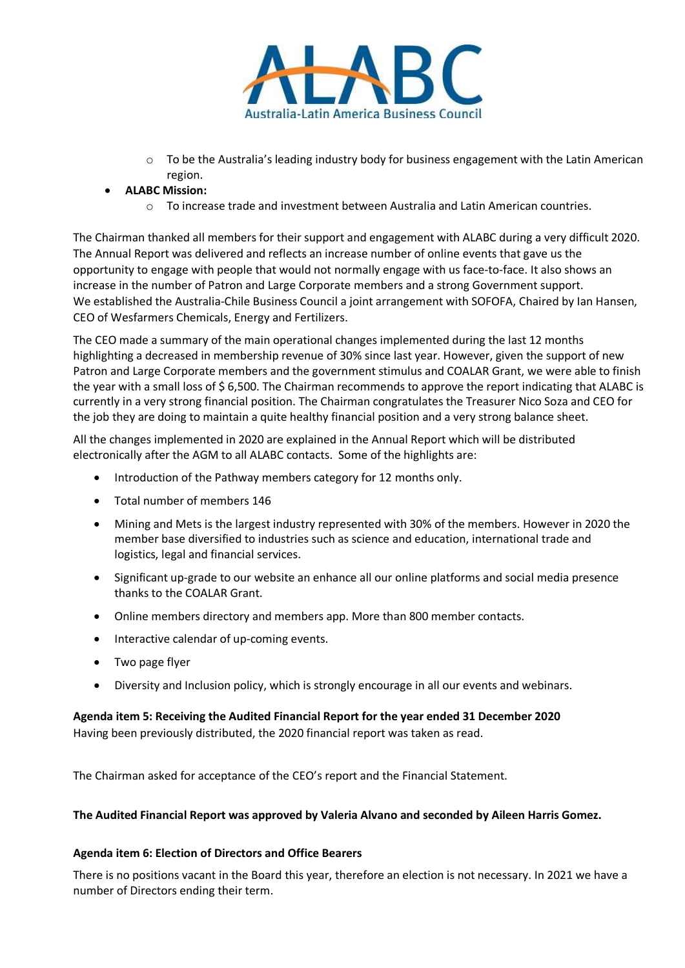

 $\circ$  To be the Australia's leading industry body for business engagement with the Latin American region.

## • **ALABC Mission:**

 $\circ$  To increase trade and investment between Australia and Latin American countries.

The Chairman thanked all members for their support and engagement with ALABC during a very difficult 2020. The Annual Report was delivered and reflects an increase number of online events that gave us the opportunity to engage with people that would not normally engage with us face-to-face. It also shows an increase in the number of Patron and Large Corporate members and a strong Government support. We established the Australia-Chile Business Council a joint arrangement with SOFOFA, Chaired by Ian Hansen, CEO of Wesfarmers Chemicals, Energy and Fertilizers.

The CEO made a summary of the main operational changes implemented during the last 12 months highlighting a decreased in membership revenue of 30% since last year. However, given the support of new Patron and Large Corporate members and the government stimulus and COALAR Grant, we were able to finish the year with a small loss of \$ 6,500. The Chairman recommends to approve the report indicating that ALABC is currently in a very strong financial position. The Chairman congratulates the Treasurer Nico Soza and CEO for the job they are doing to maintain a quite healthy financial position and a very strong balance sheet.

All the changes implemented in 2020 are explained in the Annual Report which will be distributed electronically after the AGM to all ALABC contacts. Some of the highlights are:

- Introduction of the Pathway members category for 12 months only.
- Total number of members 146
- Mining and Mets is the largest industry represented with 30% of the members. However in 2020 the member base diversified to industries such as science and education, international trade and logistics, legal and financial services.
- Significant up-grade to our website an enhance all our online platforms and social media presence thanks to the COALAR Grant.
- Online members directory and members app. More than 800 member contacts.
- Interactive calendar of up-coming events.
- Two page flyer
- Diversity and Inclusion policy, which is strongly encourage in all our events and webinars.

# **Agenda item 5: Receiving the Audited Financial Report for the year ended 31 December 2020**

Having been previously distributed, the 2020 financial report was taken as read.

The Chairman asked for acceptance of the CEO's report and the Financial Statement.

#### **The Audited Financial Report was approved by Valeria Alvano and seconded by Aileen Harris Gomez.**

#### **Agenda item 6: Election of Directors and Office Bearers**

There is no positions vacant in the Board this year, therefore an election is not necessary. In 2021 we have a number of Directors ending their term.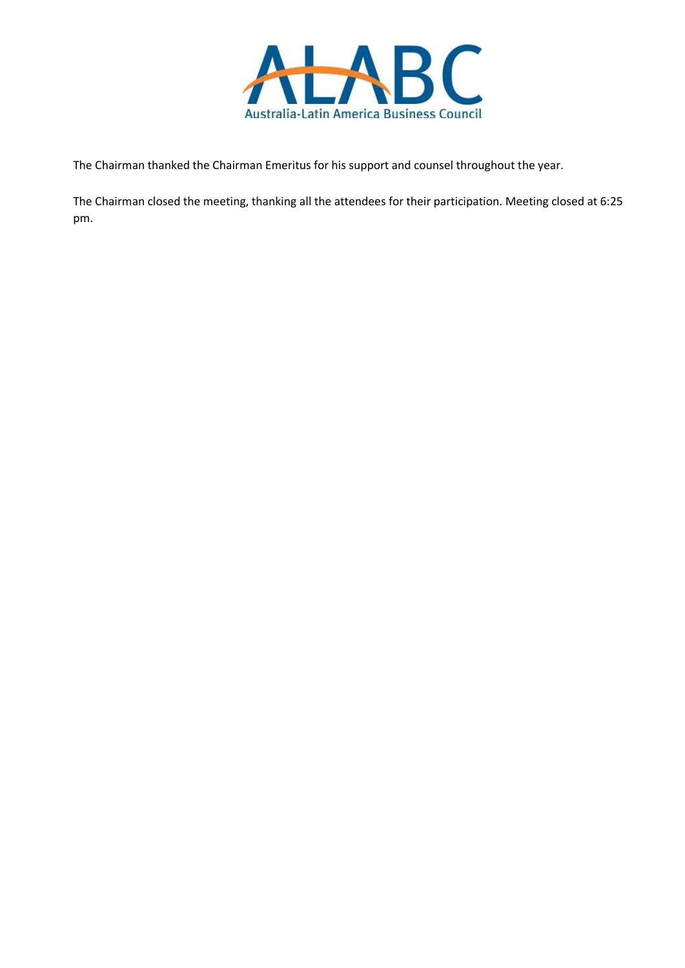

The Chairman thanked the Chairman Emeritus for his support and counsel throughout the year.

The Chairman closed the meeting, thanking all the attendees for their participation. Meeting closed at 6:25 pm.